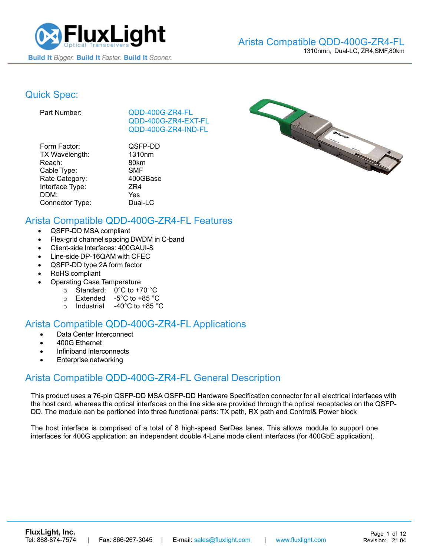

#### Arista [Compatible QDD-400G-ZR4-FL](https://www.fluxlight.com/transceivers/?sort=bestselling&cat=1071&rate_category=100GBase&interface_type=CWDM4) 1310nmn, Dual-LC, ZR4,SMF,80km

# Quick Spec:

Part Number: [QDD-400G-ZR4-](https://www.fluxlight.com/QDD-400G-ZR4-FL/)FL [QDD-400G-ZR4-](https://www.fluxlight.com/QDD-400G-ZR4-FL/)EXT-FL [QDD-400G-ZR4-](https://www.fluxlight.com/QDD-400G-ZR4-FL/)IND-FL

| Form Factor:    | QSFP-DD    |
|-----------------|------------|
| TX Wavelength:  | 1310nm     |
| Reach:          | 80km       |
| Cable Type:     | <b>SMF</b> |
| Rate Category:  | 400GBase   |
| Interface Type: | ZR4        |
| DDM:            | Yes        |
| Connector Type: | Dual-LC    |



# Arista Compatible [QDD-400G-ZR4-](https://www.fluxlight.com/QDD-400G-ZR4-FL/)FL Features

- QSFP-DD MSA compliant
- Flex-grid channel spacing DWDM in C-band
- Client-side Interfaces: 400GAUI-8
- Line-side DP-16QAM with CFEC
- QSFP-DD type 2A form factor
- RoHS compliant
- Operating Case Temperature
	- o Standard: 0°C to +70 °C
	- o Extended -5°C to +85 °C
	- o Industrial -40°C to +85 °C

### Arista Compatible [QDD-400G-ZR4-](https://www.fluxlight.com/QDD-400G-ZR4-FL/)FL Applications

- Data Center Interconnect
- 400G Ethernet
- Infiniband interconnects
- Enterprise networking

## Arista Compatible [QDD-400G-ZR4-](https://www.fluxlight.com/QDD-400G-ZR4-FL/)FL General Description

This product uses a 76-pin QSFP-DD MSA QSFP-DD Hardware Specification connector for all electrical interfaces with the host card, whereas the optical interfaces on the line side are provided through the optical receptacles on the QSFP-DD. The module can be portioned into three functional parts: TX path, RX path and Control& Power block

The host interface is comprised of a total of 8 high-speed SerDes lanes. This allows module to support one interfaces for 400G application: an independent double 4-Lane mode client interfaces (for 400GbE application).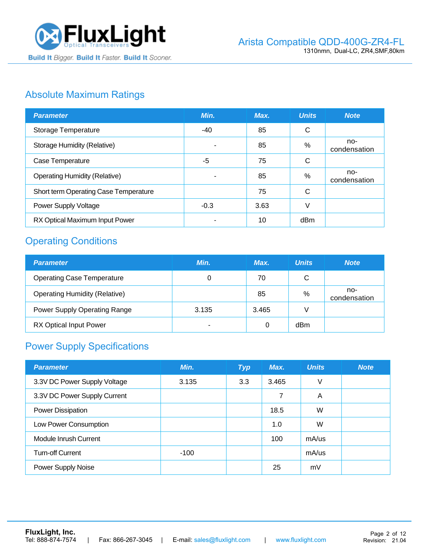

# Absolute Maximum Ratings

| <b>Parameter</b>                      | Min.   | Max. | <b>Units</b> | <b>Note</b>         |
|---------------------------------------|--------|------|--------------|---------------------|
| Storage Temperature                   | -40    | 85   | $\mathsf{C}$ |                     |
| <b>Storage Humidity (Relative)</b>    |        | 85   | %            | no-<br>condensation |
| Case Temperature                      | -5     | 75   | C            |                     |
| <b>Operating Humidity (Relative)</b>  | ۰      | 85   | %            | no-<br>condensation |
| Short term Operating Case Temperature |        | 75   | C            |                     |
| Power Supply Voltage                  | $-0.3$ | 3.63 | V            |                     |
| RX Optical Maximum Input Power        | ٠      | 10   | dBm          |                     |

# Operating Conditions

| <b>Parameter</b>                     | Min.  | Max.  | <b>Units</b> | <b>Note</b>         |
|--------------------------------------|-------|-------|--------------|---------------------|
| <b>Operating Case Temperature</b>    | 0     | 70    | C            |                     |
| <b>Operating Humidity (Relative)</b> |       | 85    | $\%$         | no-<br>condensation |
| <b>Power Supply Operating Range</b>  | 3.135 | 3.465 |              |                     |
| <b>RX Optical Input Power</b>        |       | 0     | dBm          |                     |

# Power Supply Specifications

| <b>Parameter</b>             | Min.   | <b>Typ</b> | Max.  | <b>Units</b> | <b>Note</b> |
|------------------------------|--------|------------|-------|--------------|-------------|
| 3.3V DC Power Supply Voltage | 3.135  | 3.3        | 3.465 | V            |             |
| 3.3V DC Power Supply Current |        |            | 7     | A            |             |
| Power Dissipation            |        |            | 18.5  | W            |             |
| Low Power Consumption        |        |            | 1.0   | W            |             |
| Module Inrush Current        |        |            | 100   | $mA$ /us     |             |
| <b>Turn-off Current</b>      | $-100$ |            |       | $mA$ /us     |             |
| Power Supply Noise           |        |            | 25    | mV           |             |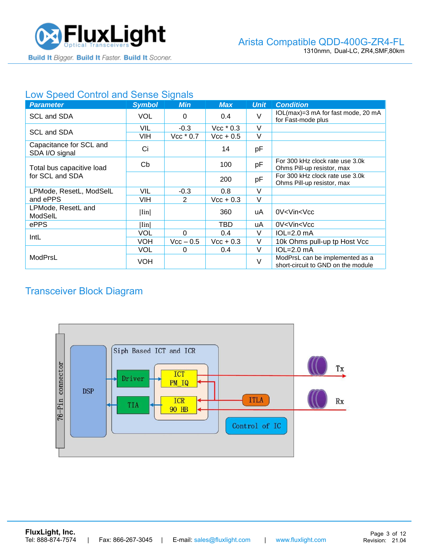

#### Low Speed Control and Sense Signals

| <b>Parameter</b>                          | <b>Symbol</b> | <b>Min</b>  | <b>Max</b>         | <b>Unit</b> | <b>Condition</b>                                                      |
|-------------------------------------------|---------------|-------------|--------------------|-------------|-----------------------------------------------------------------------|
| SCL and SDA                               | <b>VOL</b>    | 0           | 0.4                | $\vee$      | IOL(max)=3 mA for fast mode, 20 mA<br>for Fast-mode plus              |
| SCL and SDA                               | VIL           | $-0.3$      | $Vec*0.3$          | $\vee$      |                                                                       |
|                                           | VIH           | $Vec*0.7$   | $\text{Vcc} + 0.5$ | V           |                                                                       |
| Capacitance for SCL and<br>SDA I/O signal | Ci            |             | 14                 | pF          |                                                                       |
| Total bus capacitive load                 | Cb            |             | 100                | pF          | For 300 kHz clock rate use 3.0k<br>Ohms Pill-up resistor, max         |
| for SCL and SDA                           |               |             | 200                | pF          | For 300 kHz clock rate use 3.0k<br>Ohms Pill-up resistor, max         |
| LPMode, ResetL, ModSelL                   | VIL           | $-0.3$      | 0.8                | $\vee$      |                                                                       |
| and ePPS                                  | VIH           | 2           | $Vcc + 0.3$        | V           |                                                                       |
| LPMode, ResetL and<br>ModSelL             | Iin           |             | 360                | uA          | 0V <vin<vcc< td=""></vin<vcc<>                                        |
| ePPS                                      | llinl         |             | TBD                | uA          | 0V <vin<vcc< td=""></vin<vcc<>                                        |
| IntL                                      | VOL           | $\Omega$    | 0.4                | V           | $IOL=2.0mA$                                                           |
|                                           | VOH           | $Vec - 0.5$ | $Vec + 0.3$        | V           | 10k Ohms pull-up tp Host Vcc                                          |
|                                           | VOL           | 0           | 0.4                | V           | $IOL=2.0mA$                                                           |
| ModPrsL                                   | VOH           |             |                    | $\vee$      | ModPrsL can be implemented as a<br>short-circuit to GND on the module |

# Transceiver Block Diagram

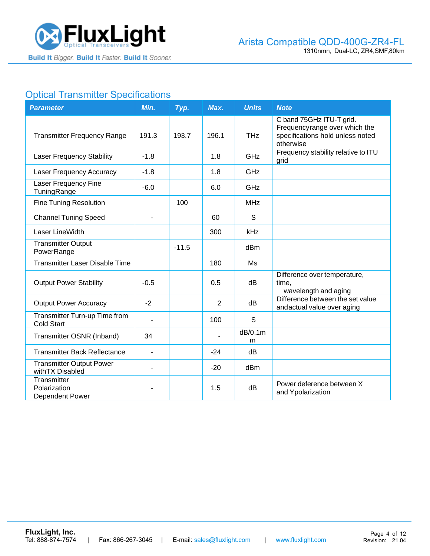

# **Optical Transmitter Specifications**

| <b>Parameter</b>                                    | Min.           | Typ.    | Max.  | <b>Units</b>    | <b>Note</b>                                                                                                |
|-----------------------------------------------------|----------------|---------|-------|-----------------|------------------------------------------------------------------------------------------------------------|
| <b>Transmitter Frequency Range</b>                  | 191.3          | 193.7   | 196.1 | <b>THz</b>      | C band 75GHz ITU-T grid.<br>Frequencyrange over which the<br>specifications hold unless noted<br>otherwise |
| <b>Laser Frequency Stability</b>                    | $-1.8$         |         | 1.8   | GHz             | Frequency stability relative to ITU<br>grid                                                                |
| Laser Frequency Accuracy                            | $-1.8$         |         | 1.8   | GHz             |                                                                                                            |
| Laser Frequency Fine<br>TuningRange                 | $-6.0$         |         | 6.0   | GHz             |                                                                                                            |
| <b>Fine Tuning Resolution</b>                       |                | 100     |       | <b>MHz</b>      |                                                                                                            |
| <b>Channel Tuning Speed</b>                         |                |         | 60    | S               |                                                                                                            |
| Laser LineWidth                                     |                |         | 300   | kHz             |                                                                                                            |
| <b>Transmitter Output</b><br>PowerRange             |                | $-11.5$ |       | dBm             |                                                                                                            |
| <b>Transmitter Laser Disable Time</b>               |                |         | 180   | Ms              |                                                                                                            |
| <b>Output Power Stability</b>                       | $-0.5$         |         | 0.5   | dB              | Difference over temperature,<br>time,<br>wavelength and aging                                              |
| <b>Output Power Accuracy</b>                        | $-2$           |         | 2     | dB              | Difference between the set value<br>andactual value over aging                                             |
| Transmitter Turn-up Time from<br><b>Cold Start</b>  |                |         | 100   | S               |                                                                                                            |
| Transmitter OSNR (Inband)                           | 34             |         |       | dB/0.1m<br>m    |                                                                                                            |
| <b>Transmitter Back Reflectance</b>                 | $\blacksquare$ |         | $-24$ | dB              |                                                                                                            |
| <b>Transmitter Output Power</b><br>with TX Disabled |                |         | $-20$ | d <sub>Bm</sub> |                                                                                                            |
| Transmitter<br>Polarization<br>Dependent Power      |                |         | 1.5   | dB              | Power deference between X<br>and Ypolarization                                                             |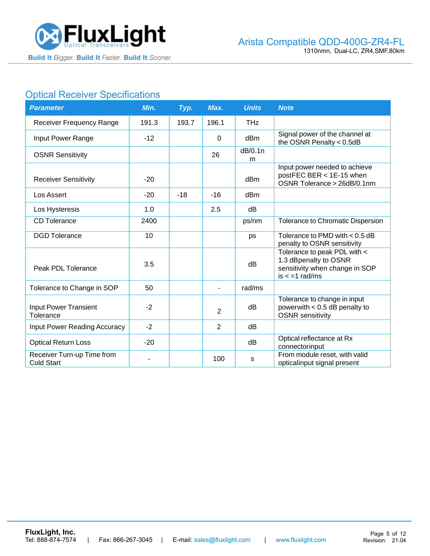

# **Optical Receiver Specifications**

| <b>Parameter</b>                                | Min.  | Typ.  | Max.           | <b>Units</b> | <b>Note</b>                                                                                                 |
|-------------------------------------------------|-------|-------|----------------|--------------|-------------------------------------------------------------------------------------------------------------|
| Receiver Frequency Range                        | 191.3 | 193.7 | 196.1          | <b>THz</b>   |                                                                                                             |
| Input Power Range                               | $-12$ |       | $\Omega$       | dBm          | Signal power of the channel at<br>the OSNR Penalty $< 0.5$ dB                                               |
| <b>OSNR Sensitivity</b>                         |       |       | 26             | dB/0.1n<br>m |                                                                                                             |
| <b>Receiver Sensitivity</b>                     | $-20$ |       |                | dBm          | Input power needed to achieve<br>postFEC BER < 1E-15 when<br>OSNR Tolerance > 26dB/0.1nm                    |
| Los Assert                                      | $-20$ | $-18$ | $-16$          | dBm          |                                                                                                             |
| Los Hysteresis                                  | 1.0   |       | 2.5            | dB           |                                                                                                             |
| <b>CD</b> Tolerance                             | 2400  |       |                | ps/nm        | Tolerance to Chromatic Dispersion                                                                           |
| <b>DGD</b> Tolerance                            | 10    |       |                | ps           | Tolerance to PMD with $< 0.5$ dB<br>penalty to OSNR sensitivity                                             |
| Peak PDL Tolerance                              | 3.5   |       |                | dB           | Tolerance to peak PDL with <<br>1.3 dBpenalty to OSNR<br>sensitivity when change in SOP<br>$is < -1$ rad/ms |
| Tolerance to Change in SOP                      | 50    |       |                | rad/ms       |                                                                                                             |
| Input Power Transient<br>Tolerance              | $-2$  |       | 2              | dB           | Tolerance to change in input<br>powerwith $< 0.5$ dB penalty to<br><b>OSNR</b> sensitivity                  |
| <b>Input Power Reading Accuracy</b>             | $-2$  |       | $\overline{2}$ | dB           |                                                                                                             |
| <b>Optical Return Loss</b>                      | $-20$ |       |                | dB           | Optical reflectance at Rx<br>connectorinput                                                                 |
| Receiver Turn-up Time from<br><b>Cold Start</b> |       |       | 100            | s            | From module reset, with valid<br>opticalinput signal present                                                |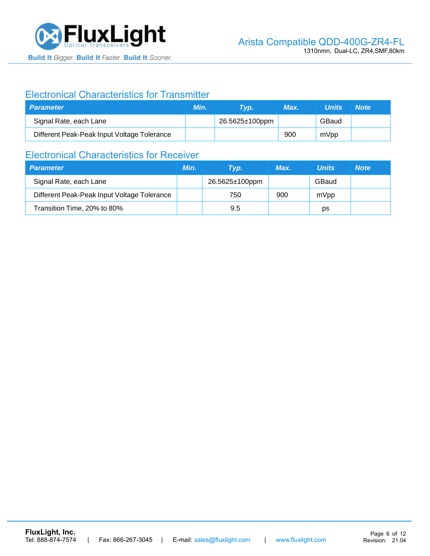

### Electronical Characteristics for Transmitter

| <b>Parameter</b>                            | Min. | Tvp.           | Max. | <b>Units</b> | <b>Note</b> |
|---------------------------------------------|------|----------------|------|--------------|-------------|
| Signal Rate, each Lane                      |      | 26.5625±100ppm |      | GBaud        |             |
| Different Peak-Peak Input Voltage Tolerance |      |                | 900  | mVpp         |             |

# Electronical Characteristics for Receiver

| <b>Parameter</b>                            | Min. | Tvp.                  | Max. | <b>Units</b> | <b>Note</b> |
|---------------------------------------------|------|-----------------------|------|--------------|-------------|
| Signal Rate, each Lane                      |      | $26.5625 \pm 100$ ppm |      | GBaud        |             |
| Different Peak-Peak Input Voltage Tolerance |      | 750                   | 900  | mVpp         |             |
| Transition Time, 20% to 80%                 |      | 9.5                   |      | ps           |             |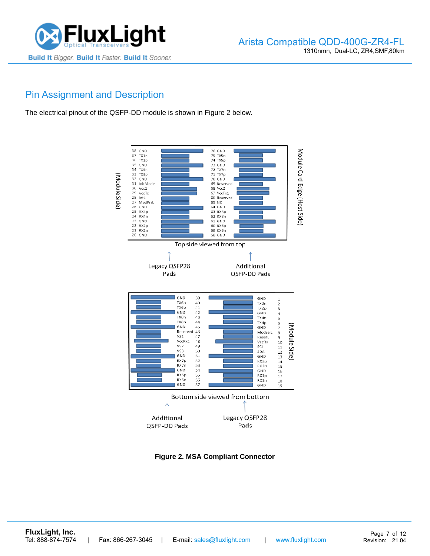

# Pin Assignment and Description

The electrical pinout of the QSFP-DD module is shown in Figure 2 below.



**Figure 2. MSA Compliant Connector**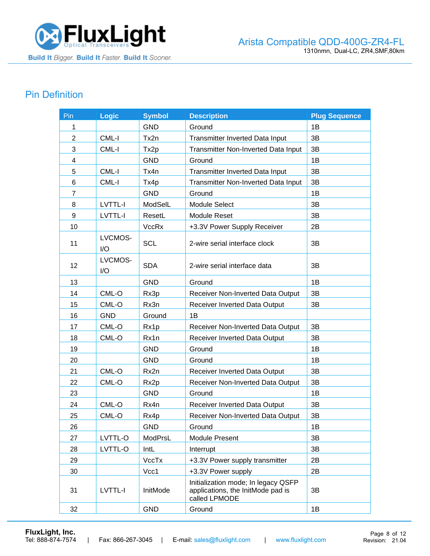

# Pin Definition

| Pin            | <b>Logic</b>   | <b>Symbol</b>    | <b>Description</b>                                                                        | <b>Plug Sequence</b> |
|----------------|----------------|------------------|-------------------------------------------------------------------------------------------|----------------------|
| 1              |                | <b>GND</b>       | Ground                                                                                    | 1B                   |
| $\overline{2}$ | CML-I          | Tx2n             | Transmitter Inverted Data Input                                                           | 3B                   |
| 3              | CML-I          | Tx2p             | Transmitter Non-Inverted Data Input                                                       | 3B                   |
| 4              |                | <b>GND</b>       | Ground                                                                                    | 1B                   |
| 5              | CML-I          | Tx4n             | Transmitter Inverted Data Input                                                           | 3B                   |
| 6              | CML-I          | Tx4p             | Transmitter Non-Inverted Data Input                                                       | 3B                   |
| $\overline{7}$ |                | <b>GND</b>       | Ground                                                                                    | 1B                   |
| 8              | <b>LVTTL-I</b> | ModSelL          | Module Select                                                                             | 3B                   |
| 9              | LVTTL-I        | ResetL           | <b>Module Reset</b>                                                                       | 3B                   |
| 10             |                | <b>VccRx</b>     | +3.3V Power Supply Receiver                                                               | 2B                   |
| 11             | LVCMOS-<br>I/O | <b>SCL</b>       | 2-wire serial interface clock                                                             | 3B                   |
| 12             | LVCMOS-<br>I/O | <b>SDA</b>       | 2-wire serial interface data                                                              | 3B                   |
| 13             |                | <b>GND</b>       | Ground                                                                                    | 1B                   |
| 14             | CML-O          | Rx3p             | Receiver Non-Inverted Data Output                                                         | 3B                   |
| 15             | CML-O          | Rx3n             | <b>Receiver Inverted Data Output</b>                                                      | 3B                   |
| 16             | <b>GND</b>     | Ground           | 1B                                                                                        |                      |
| 17             | CML-O          | Rx1p             | Receiver Non-Inverted Data Output                                                         | 3B                   |
| 18             | CML-O          | Rx1n             | Receiver Inverted Data Output                                                             | 3B                   |
| 19             |                | <b>GND</b>       | Ground                                                                                    | 1B                   |
| 20             |                | <b>GND</b>       | Ground                                                                                    | 1B                   |
| 21             | CML-O          | Rx2n             | Receiver Inverted Data Output                                                             | 3B                   |
| 22             | CML-O          | Rx <sub>2p</sub> | Receiver Non-Inverted Data Output                                                         | 3B                   |
| 23             |                | <b>GND</b>       | Ground                                                                                    | 1B                   |
| 24             | CML-O          | Rx4n             | Receiver Inverted Data Output                                                             | 3B                   |
| 25             | CML-O          | Rx4p             | Receiver Non-Inverted Data Output                                                         | 3B                   |
| 26             |                | <b>GND</b>       | Ground                                                                                    | 1В                   |
| 27             | LVTTL-O        | ModPrsL          | <b>Module Present</b>                                                                     | 3B                   |
| 28             | LVTTL-O        | IntL             | Interrupt                                                                                 | 3B                   |
| 29             |                | VccTx            | +3.3V Power supply transmitter                                                            | 2B                   |
| 30             |                | Vcc1             | +3.3V Power supply                                                                        | 2B                   |
| 31             | LVTTL-I        | InitMode         | Initialization mode; In legacy QSFP<br>applications, the InitMode pad is<br>called LPMODE | 3B                   |
| 32             |                | <b>GND</b>       | Ground                                                                                    | 1B                   |

**[FluxLight, Inc.](https://www.fluxlight.com/)**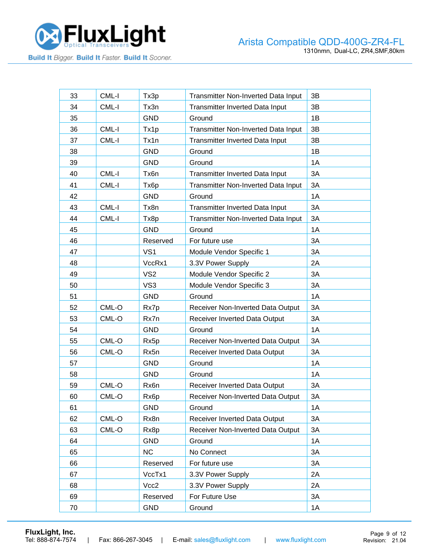

| 33 | CML-I   | Tx3p              | Transmitter Non-Inverted Data Input | 3B |
|----|---------|-------------------|-------------------------------------|----|
| 34 | CML-I   | Tx3n              | Transmitter Inverted Data Input     | 3B |
| 35 |         | <b>GND</b>        | Ground                              | 1B |
| 36 | CML-I   | Tx1p              | Transmitter Non-Inverted Data Input | 3B |
| 37 | CML-I   | Tx1n              | Transmitter Inverted Data Input     | 3B |
| 38 |         | <b>GND</b>        | Ground                              | 1B |
| 39 |         | <b>GND</b>        | Ground                              | 1A |
| 40 | CML-I   | Tx6n              | Transmitter Inverted Data Input     | 3A |
| 41 | CML-I   | Tx <sub>6</sub> p | Transmitter Non-Inverted Data Input | 3A |
| 42 |         | <b>GND</b>        | Ground                              | 1A |
| 43 | CML-I   | Tx8n              | Transmitter Inverted Data Input     | 3A |
| 44 | CML-I   | Tx8p              | Transmitter Non-Inverted Data Input | 3A |
| 45 |         | <b>GND</b>        | Ground                              | 1A |
| 46 |         | Reserved          | For future use                      | 3A |
| 47 |         | VS <sub>1</sub>   | Module Vendor Specific 1            | 3A |
| 48 |         | VccRx1            | 3.3V Power Supply                   | 2A |
| 49 |         | VS <sub>2</sub>   | Module Vendor Specific 2            | 3A |
| 50 |         | VS3               | Module Vendor Specific 3            | 3A |
| 51 |         | <b>GND</b>        | Ground                              | 1A |
| 52 | CML-O   | Rx7p              | Receiver Non-Inverted Data Output   | 3A |
| 53 | CML-O   | Rx7n              | Receiver Inverted Data Output       | 3A |
| 54 |         | <b>GND</b>        | Ground                              | 1A |
| 55 | CML-O   | Rx5p              | Receiver Non-Inverted Data Output   | 3A |
| 56 | CML-O   | Rx5n              | Receiver Inverted Data Output       | 3A |
| 57 |         | <b>GND</b>        | Ground                              | 1A |
| 58 |         | <b>GND</b>        | Ground                              | 1A |
| 59 | CML-O   | Rx6n              | Receiver Inverted Data Output       | 3A |
| 60 | CML-O   | Rx <sub>6</sub> p | Receiver Non-Inverted Data Output   | 3A |
| 61 |         | <b>GND</b>        | Ground                              | 1A |
| 62 | CML-O   | Rx8n              | Receiver Inverted Data Output       | 3A |
| 63 | $CML-O$ | Rx8p              | Receiver Non-Inverted Data Output   | 3A |
| 64 |         | <b>GND</b>        | Ground                              | 1A |
| 65 |         | <b>NC</b>         | No Connect                          | 3A |
| 66 |         | Reserved          | For future use                      | 3A |
| 67 |         | VccTx1            | 3.3V Power Supply                   | 2A |
| 68 |         | Vcc2              | 3.3V Power Supply                   | 2A |
| 69 |         | Reserved          | For Future Use                      | 3A |
| 70 |         | <b>GND</b>        | Ground                              | 1A |

**[FluxLight, Inc.](https://www.fluxlight.com/)**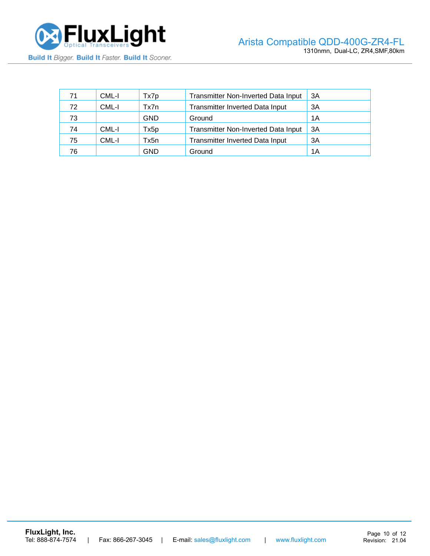

| 71 | CML-I | Tx7p       | <b>Transmitter Non-Inverted Data Input</b> | ЗΑ |
|----|-------|------------|--------------------------------------------|----|
| 72 | CML-I | Tx7n       | <b>Transmitter Inverted Data Input</b>     | 3A |
| 73 |       | <b>GND</b> | Ground                                     | 1Α |
| 74 | CML-I | Tx5p       | <b>Transmitter Non-Inverted Data Input</b> | ЗA |
| 75 | CML-I | Tx5n       | Transmitter Inverted Data Input            | ЗA |
| 76 |       | GND        | Ground                                     | 1Α |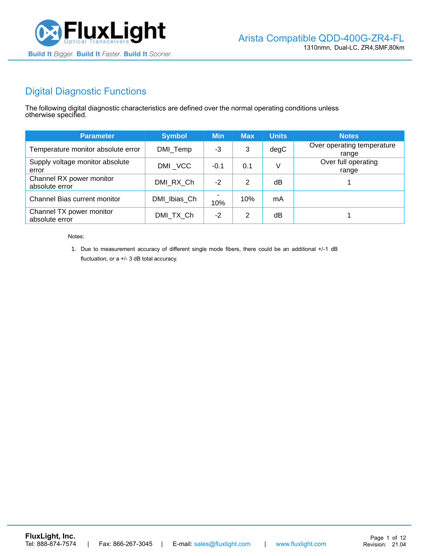

# Digital Diagnostic Functions

The following digital diagnostic characteristics are defined over the normal operating conditions unless otherwise specified.

| <b>Parameter</b>                           | <b>Symbol</b> | <b>Min</b> | <b>Max</b> | <b>Units</b> | <b>Notes</b>                        |
|--------------------------------------------|---------------|------------|------------|--------------|-------------------------------------|
| Temperature monitor absolute error         | DMI_Temp      | -3         | 3          | degC         | Over operating temperature<br>range |
| Supply voltage monitor absolute<br>error   | DMI VCC       | $-0.1$     | 0.1        | V            | Over full operating<br>range        |
| Channel RX power monitor<br>absolute error | DMI RX Ch     | $-2$       | 2          | dΒ           |                                     |
| Channel Bias current monitor               | DMI Ibias Ch  | 10%        | 10%        | mA           |                                     |
| Channel TX power monitor<br>absolute error | DMI_TX_Ch     | $-2$       | 2          | dΒ           |                                     |

Notes:

1. Due to measurement accuracy of different single mode fibers, there could be an additional +/-1 dB fluctuation, or a +/- 3 dB total accuracy.